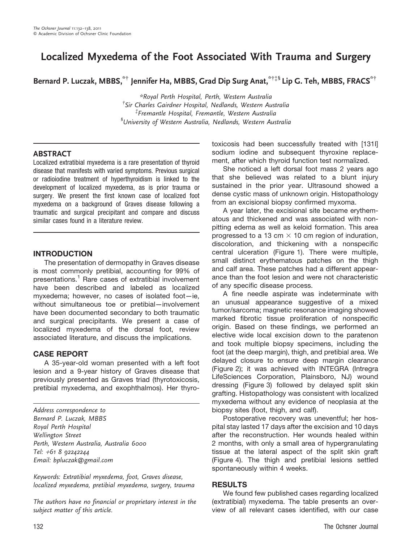# Localized Myxedema of the Foot Associated With Trauma and Surgery

Bernard P. Luczak, MBBS, \*\* Jennifer Ha, MBBS, Grad Dip Surg Anat, \*\*\* Lip G. Teh, MBBS, FRACS\*\*

\*Royal Perth Hospital, Perth, Western Australia  $^\dagger$ Sir Charles Gairdner Hospital, Nedlands, Western Australia  $^{\ddagger}$ Fremantle Hospital, Fremantle, Western Australia  $^{\mathfrak s}$ University of Western Australia, Nedlands, Western Australia

## ABSTRACT

Localized extratibial myxedema is a rare presentation of thyroid disease that manifests with varied symptoms. Previous surgical or radioiodine treatment of hyperthyroidism is linked to the development of localized myxedema, as is prior trauma or surgery. We present the first known case of localized foot myxedema on a background of Graves disease following a traumatic and surgical precipitant and compare and discuss similar cases found in a literature review.

## INTRODUCTION

The presentation of dermopathy in Graves disease is most commonly pretibial, accounting for 99% of presentations.<sup>1</sup> Rare cases of extratibial involvement have been described and labeled as localized myxedema; however, no cases of isolated foot—ie, without simultaneous toe or pretibial—involvement have been documented secondary to both traumatic and surgical precipitants. We present a case of localized myxedema of the dorsal foot, review associated literature, and discuss the implications.

## CASE REPORT

A 35-year-old woman presented with a left foot lesion and a 9-year history of Graves disease that previously presented as Graves triad (thyrotoxicosis, pretibial myxedema, and exophthalmos). Her thyro-

Address correspondence to Bernard P. Luczak, MBBS Royal Perth Hospital Wellington Street Perth, Western Australia, Australia 6000 Tel: <sup>+</sup>61 8 92242244 Email: bpluczak@gmail.com

Keywords: Extratibial myxedema, foot, Graves disease, localized myxedema, pretibial myxedema, surgery, trauma

The authors have no financial or proprietary interest in the subject matter of this article.

toxicosis had been successfully treated with [131I] sodium iodine and subsequent thyroxine replacement, after which thyroid function test normalized.

She noticed a left dorsal foot mass 2 years ago that she believed was related to a blunt injury sustained in the prior year. Ultrasound showed a dense cystic mass of unknown origin. Histopathology from an excisional biopsy confirmed myxoma.

A year later, the excisional site became erythematous and thickened and was associated with nonpitting edema as well as keloid formation. This area progressed to a 13 cm  $\times$  10 cm region of induration, discoloration, and thickening with a nonspecific central ulceration (Figure 1). There were multiple, small distinct erythematous patches on the thigh and calf area. These patches had a different appearance than the foot lesion and were not characteristic of any specific disease process.

A fine needle aspirate was indeterminate with an unusual appearance suggestive of a mixed tumor/sarcoma; magnetic resonance imaging showed marked fibrotic tissue proliferation of nonspecific origin. Based on these findings, we performed an elective wide local excision down to the paratenon and took multiple biopsy specimens, including the foot (at the deep margin), thigh, and pretibial area. We delayed closure to ensure deep margin clearance (Figure 2); it was achieved with INTEGRA (Intregra LifeSciences Corporation, Plainsboro, NJ) wound dressing (Figure 3) followed by delayed split skin grafting. Histopathology was consistent with localized myxedema without any evidence of neoplasia at the biopsy sites (foot, thigh, and calf).

Postoperative recovery was uneventful; her hospital stay lasted 17 days after the excision and 10 days after the reconstruction. Her wounds healed within 2 months, with only a small area of hypergranulating tissue at the lateral aspect of the split skin graft (Figure 4). The thigh and pretibial lesions settled spontaneously within 4 weeks.

#### RESULTS

We found few published cases regarding localized (extratibial) myxedema. The table presents an overview of all relevant cases identified, with our case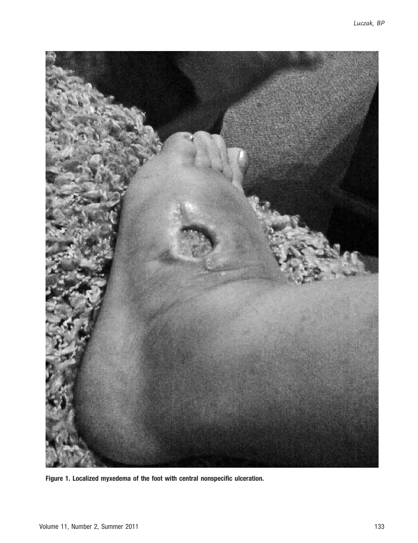

Figure 1. Localized myxedema of the foot with central nonspecific ulceration.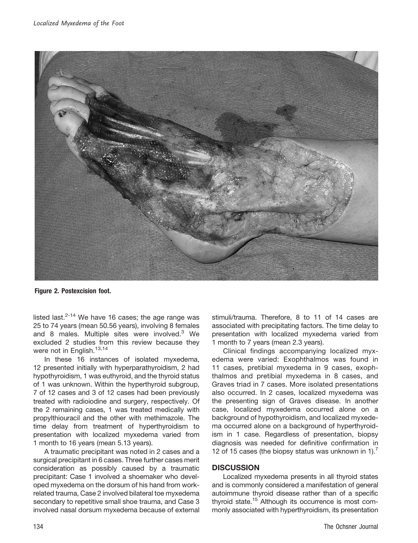

Figure 2. Postexcision foot.

listed last. $2-14$  We have 16 cases; the age range was 25 to 74 years (mean 50.56 years), involving 8 females and 8 males. Multiple sites were involved.<sup>3</sup> We excluded 2 studies from this review because they were not in English.<sup>13,14</sup>

In these 16 instances of isolated myxedema, 12 presented initially with hyperparathyroidism, 2 had hypothyroidism, 1 was euthyroid, and the thyroid status of 1 was unknown. Within the hyperthyroid subgroup, 7 of 12 cases and 3 of 12 cases had been previously treated with radioiodine and surgery, respectively. Of the 2 remaining cases, 1 was treated medically with propylthiouracil and the other with methimazole. The time delay from treatment of hyperthyroidism to presentation with localized myxedema varied from 1 month to 16 years (mean 5.13 years).

A traumatic precipitant was noted in 2 cases and a surgical precipitant in 6 cases. Three further cases merit consideration as possibly caused by a traumatic precipitant: Case 1 involved a shoemaker who developed myxedema on the dorsum of his hand from workrelated trauma, Case 2 involved bilateral toe myxedema secondary to repetitive small shoe trauma, and Case 3 involved nasal dorsum myxedema because of external stimuli/trauma. Therefore, 8 to 11 of 14 cases are associated with precipitating factors. The time delay to presentation with localized myxedema varied from 1 month to 7 years (mean 2.3 years).

Clinical findings accompanying localized myxedema were varied: Exophthalmos was found in 11 cases, pretibial myxedema in 9 cases, exophthalmos and pretibial myxedema in 8 cases, and Graves triad in 7 cases. More isolated presentations also occurred. In 2 cases, localized myxedema was the presenting sign of Graves disease. In another case, localized myxedema occurred alone on a background of hypothyroidism, and localized myxedema occurred alone on a background of hyperthyroidism in 1 case. Regardless of presentation, biopsy diagnosis was needed for definitive confirmation in 12 of 15 cases (the biopsy status was unknown in 1).<sup>7</sup>

## **DISCUSSION**

Localized myxedema presents in all thyroid states and is commonly considered a manifestation of general autoimmune thyroid disease rather than of a specific thyroid state.<sup>15</sup> Although its occurrence is most commonly associated with hyperthyroidism, its presentation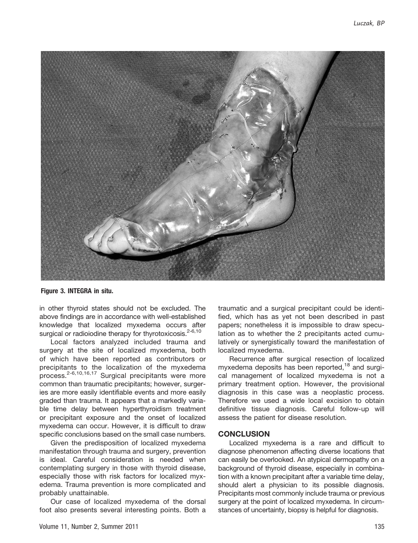

Figure 3. INTEGRA in situ.

in other thyroid states should not be excluded. The above findings are in accordance with well-established knowledge that localized myxedema occurs after surgical or radioiodine therapy for thyrotoxicosis. $2-6,10$ 

Local factors analyzed included trauma and surgery at the site of localized myxedema, both of which have been reported as contributors or precipitants to the localization of the myxedema process.2-6,10,16,17 Surgical precipitants were more common than traumatic precipitants; however, surgeries are more easily identifiable events and more easily graded than trauma. It appears that a markedly variable time delay between hyperthyroidism treatment or precipitant exposure and the onset of localized myxedema can occur. However, it is difficult to draw specific conclusions based on the small case numbers.

Given the predisposition of localized myxedema manifestation through trauma and surgery, prevention is ideal. Careful consideration is needed when contemplating surgery in those with thyroid disease, especially those with risk factors for localized myxedema. Trauma prevention is more complicated and probably unattainable.

Our case of localized myxedema of the dorsal foot also presents several interesting points. Both a traumatic and a surgical precipitant could be identified, which has as yet not been described in past papers; nonetheless it is impossible to draw speculation as to whether the 2 precipitants acted cumulatively or synergistically toward the manifestation of localized myxedema.

Recurrence after surgical resection of localized myxedema deposits has been reported.<sup>18</sup> and surgical management of localized myxedema is not a primary treatment option. However, the provisional diagnosis in this case was a neoplastic process. Therefore we used a wide local excision to obtain definitive tissue diagnosis. Careful follow-up will assess the patient for disease resolution.

#### **CONCLUSION**

Localized myxedema is a rare and difficult to diagnose phenomenon affecting diverse locations that can easily be overlooked. An atypical dermopathy on a background of thyroid disease, especially in combination with a known precipitant after a variable time delay, should alert a physician to its possible diagnosis. Precipitants most commonly include trauma or previous surgery at the point of localized myxedema. In circumstances of uncertainty, biopsy is helpful for diagnosis.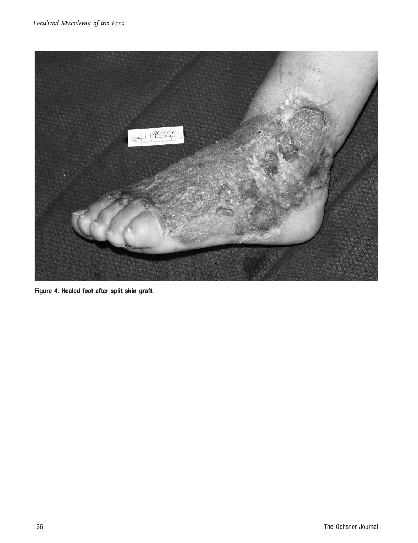

Figure 4. Healed foot after split skin graft.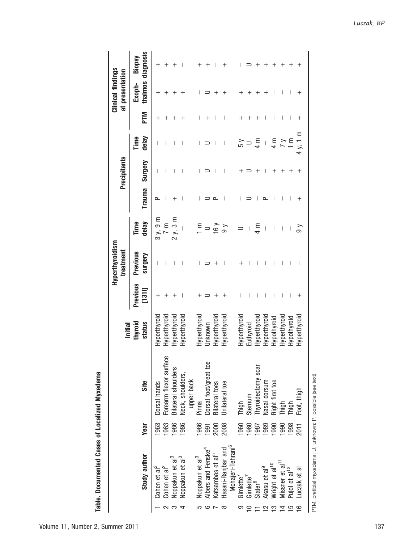Table. Documented Cases of Localized Myxedema Table. Documented Cases of Localized Myxedema

|          |                                                             |             |                                   | Initial           |                   | Hyperthyroidism<br>treatment |                       |        | Precipitants |               |            | Clinical findings<br>at presentation |                             |
|----------|-------------------------------------------------------------|-------------|-----------------------------------|-------------------|-------------------|------------------------------|-----------------------|--------|--------------|---------------|------------|--------------------------------------|-----------------------------|
|          | Study author                                                | <b>Year</b> | Site                              | thyroid<br>status | Previous<br>[131] | Previous<br>Surgery          | delay<br>Time         | Trauma | Surgery      | Time<br>delay | <b>NLd</b> | Exoph-                               | thalmos diagnosis<br>Biopsy |
|          | Cohen et al <sup>2</sup>                                    | 1963        | Dorsal hands                      | Hyperthyroi       | $\,{}^+$          |                              | 3 y, 9 m              | ௨      | $\mathsf{I}$ |               |            |                                      |                             |
|          | Cohen et al <sup>2</sup>                                    | <b>1963</b> | Φ<br>Forearm flexor surfac        | Hyperthyroic      |                   |                              | $\overline{7}$ m      |        |              |               |            |                                      |                             |
| က        | Noppakun et al <sup>3</sup>                                 | 1986        | <b>Bilateral shoulders</b>        | Hyperthyroid      |                   |                              | 2 y, 3 m              |        |              |               |            |                                      |                             |
|          | Noppakun et al <sup>3</sup>                                 | 1986        | Neck, shoulders,                  | Hyperthyroid      |                   |                              |                       |        |              |               |            |                                      |                             |
|          |                                                             |             | upper back                        |                   |                   |                              |                       |        |              |               |            |                                      |                             |
|          | Noppakun et al <sup>3</sup>                                 | 1986        | Pinna                             | Hyperthyroi       |                   |                              | $\overline{\epsilon}$ |        |              | I             |            |                                      |                             |
|          | Albers and Fenske <sup>4</sup>                              | 1991        | Dorsal foot/great toe             | Jnknown           |                   |                              |                       |        |              |               |            |                                      |                             |
|          | Katsambas et al <sup>5</sup>                                | 2000        | <b>Bilateral</b> toes             | Hyperthyroi       |                   |                              | $\frac{16}{ }$        | ≏      |              |               |            |                                      |                             |
| ∞        | Hasani-Ranjbar and                                          | 2008        | Jnilateral toe                    | Hyperthyroic      |                   |                              | ခ                     |        |              |               |            |                                      |                             |
|          | Mohajeri-Tehrani <sup>6</sup>                               |             |                                   |                   |                   |                              |                       |        |              |               |            |                                      |                             |
| ග        | Gimlette'                                                   | 1960        | Thigh                             | Hyperthyroi       |                   |                              |                       |        |              |               |            |                                      |                             |
|          | Gimlette <sup>7</sup>                                       | 1960        | Sternum                           | Euthyroid         |                   |                              |                       |        |              |               |            |                                      |                             |
|          | $Slater^8$                                                  | 1987        | Thyroidectomy scar                | Hyperthvroi       |                   |                              | ⊞<br>4                |        |              | ξ<br>Σ        |            |                                      |                             |
| $\simeq$ | Akasu et al <sup>9</sup>                                    | 1989        | Nasal dorsum                      | Hyperthyroi       |                   |                              |                       |        |              |               |            |                                      |                             |
| ≌        | Wright et al <sup>10</sup>                                  | 1990        |                                   | Hypothyroid       |                   |                              | I                     |        |              | ≌<br>4        |            |                                      |                             |
|          | Missner et al <sup>11</sup>                                 | 1990        |                                   | Hyperthyroid      |                   |                              | I                     |        |              |               |            |                                      |                             |
|          | Pujol et al <sup>12</sup>                                   | 1998        | Right first toe<br>Thigh<br>Thigh | Hypothyroic       |                   |                              |                       |        |              |               |            |                                      |                             |
|          | -uczak et al                                                | 2011        | Foot, thigh                       | Hyperthyroid      |                   |                              | ్ల                    | ┿      |              | Ξ<br>4        |            |                                      |                             |
|          | PTM, pretibial myxedema; U, unknown; P, possible (see text) |             |                                   |                   |                   |                              |                       |        |              |               |            |                                      |                             |